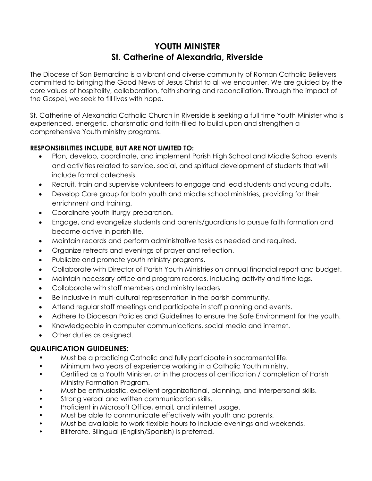## **YOUTH MINISTER St. Catherine of Alexandria, Riverside**

The Diocese of San Bernardino is a vibrant and diverse community of Roman Catholic Believers committed to bringing the Good News of Jesus Christ to all we encounter. We are guided by the core values of hospitality, collaboration, faith sharing and reconciliation. Through the impact of the Gospel, we seek to fill lives with hope.

St. Catherine of Alexandria Catholic Church in Riverside is seeking a full time Youth Minister who is experienced, energetic, charismatic and faith-filled to build upon and strengthen a comprehensive Youth ministry programs.

## **RESPONSIBILITIES INCLUDE, BUT ARE NOT LIMITED TO:**

- Plan, develop, coordinate, and implement Parish High School and Middle School events and activities related to service, social, and spiritual development of students that will include formal catechesis.
- Recruit, train and supervise volunteers to engage and lead students and young adults.
- Develop Core group for both youth and middle school ministries, providing for their enrichment and training.
- Coordinate youth liturgy preparation.
- Engage, and evangelize students and parents/guardians to pursue faith formation and become active in parish life.
- Maintain records and perform administrative tasks as needed and required.
- Organize retreats and evenings of prayer and reflection.
- Publicize and promote youth ministry programs.
- Collaborate with Director of Parish Youth Ministries on annual financial report and budget.
- Maintain necessary office and program records, including activity and time logs.
- Collaborate with staff members and ministry leaders
- Be inclusive in multi-cultural representation in the parish community.
- Attend regular staff meetings and participate in staff planning and events.
- Adhere to Diocesan Policies and Guidelines to ensure the Safe Environment for the youth.
- Knowledgeable in computer communications, social media and internet.
- Other duties as assigned.

## **QUALIFICATION GUIDELINES:**

- Must be a practicing Catholic and fully participate in sacramental life.
- Minimum two years of experience working in a Catholic Youth ministry.
- Certified as a Youth Minister, or in the process of certification / completion of Parish Ministry Formation Program.
- Must be enthusiastic, excellent organizational, planning, and interpersonal skills.
- Strong verbal and written communication skills.
- Proficient in Microsoft Office, email, and internet usage.
- Must be able to communicate effectively with youth and parents.
- Must be available to work flexible hours to include evenings and weekends.
- Biliterate, Bilingual (English/Spanish) is preferred.